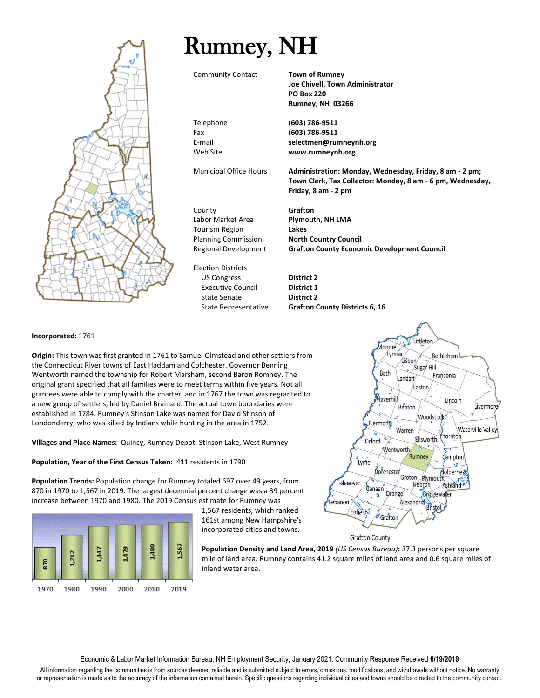

## Rumney, NH

Community Contact **Town of Rumney**

**Joe Chivell, Town Administrator PO Box 220 Rumney, NH 03266**

Telephone **(603) 786-9511** Fax **(603) 786-9511** E-mail **selectmen@rumneynh.org** Web Site **www.rumneynh.org**

Municipal Office Hours **Administration: Monday, Wednesday, Friday, 8 am - 2 pm; Town Clerk, Tax Collector: Monday, 8 am - 6 pm, Wednesday, Friday, 8 am - 2 pm**

County **Grafton** Labor Market Area **Plymouth, NH LMA** Tourism Region **Lakes** Planning Commission **North Country Council** Regional Development **Grafton County Economic Development Council**

Election Districts US Congress **District 2** Executive Council **District 1** State Senate **District 2**

State Representative **Grafton County Districts 6, 16**

## **Incorporated:** 1761

**Origin:** This town was first granted in 1761 to Samuel Olmstead and other settlers from the Connecticut River towns of East Haddam and Colchester. Governor Benning Wentworth named the township for Robert Marsham, second Baron Romney. The original grant specified that all families were to meet terms within five years. Not all grantees were able to comply with the charter, and in 1767 the town was regranted to a new group of settlers, led by Daniel Brainard. The actual town boundaries were established in 1784. Rumney's Stinson Lake was named for David Stinson of Londonderry, who was killed by Indians while hunting in the area in 1752.

**Villages and Place Names:** Quincy, Rumney Depot, Stinson Lake, West Rumney

**Population, Year of the First Census Taken:** 411 residents in 1790

**Population Trends:** Population change for Rumney totaled 697 over 49 years, from 870 in 1970 to 1,567 in 2019. The largest decennial percent change was a 39 percent increase between 1970 and 1980. The 2019 Census estimate for Rumney was



1,567 residents, which ranked 161st among New Hampshire's incorporated cities and towns.

**Population Density and Land Area, 2019** *(US Census Bureau)***:** 37.3 persons per square mile of land area. Rumney contains 41.2 square miles of land area and 0.6 square miles of inland water area.

Littleton **Aonroe** Lyman Bethlehem Lisbon Sugar Hill Bath Franconia Landaff/ Faston Haverhill Lincoln Benton Livermore Woodstock Piermont Waterville Valley Warren Phornton Ellsworth. Orford Wentworth Rumney Campton Lyme  $\mathbf{v}_t$ Dorchester Holderness Groton Plymouth Hanover Hebron Ashland Canaan Orange Bridgewater Be<br>Alexandria<br>Bristo Lebanon Enfield Grafton **Grafton County** 

Economic & Labor Market Information Bureau, NH Employment Security, January 2021. Community Response Received **6/19/2019**

All information regarding the communities is from sources deemed reliable and is submitted subject to errors, omissions, modifications, and withdrawals without notice. No warranty or representation is made as to the accuracy of the information contained herein. Specific questions regarding individual cities and towns should be directed to the community contact.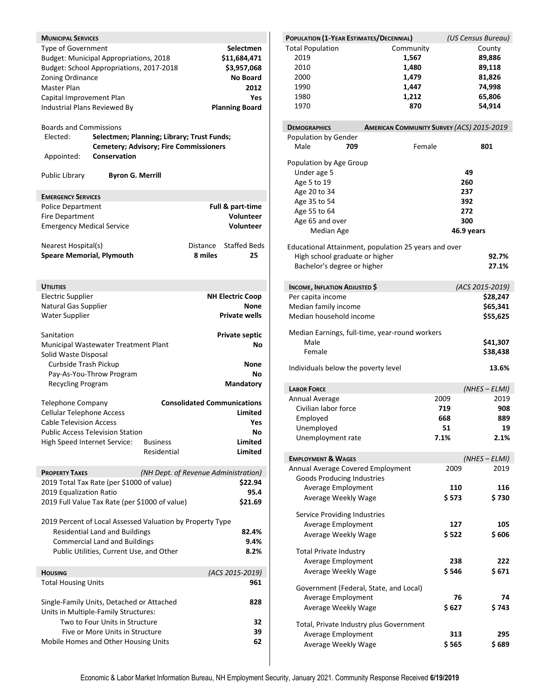| <b>MUNICIPAL SERVICES</b><br>Type of Government<br>Zoning Ordinance<br>Master Plan<br>Capital Improvement Plan<br>Industrial Plans Reviewed By<br><b>Boards and Commissions</b><br>Elected:<br>Appointed: | <b>Budget: Municipal Appropriations, 2018</b><br>Budget: School Appropriations, 2017-2018<br>Conservation | Selectmen; Planning; Library; Trust Funds;<br><b>Cemetery; Advisory; Fire Commissioners</b> |                     | <b>Selectmen</b><br>\$11,684,471<br>\$3,957,068<br><b>No Board</b><br>2012<br>Yes<br><b>Planning Board</b> |
|-----------------------------------------------------------------------------------------------------------------------------------------------------------------------------------------------------------|-----------------------------------------------------------------------------------------------------------|---------------------------------------------------------------------------------------------|---------------------|------------------------------------------------------------------------------------------------------------|
| Public Library                                                                                                                                                                                            | <b>Byron G. Merrill</b>                                                                                   |                                                                                             |                     |                                                                                                            |
| <b>EMERGENCY SERVICES</b>                                                                                                                                                                                 |                                                                                                           |                                                                                             |                     |                                                                                                            |
| Police Department                                                                                                                                                                                         |                                                                                                           |                                                                                             |                     | Full & part-time                                                                                           |
| <b>Fire Department</b>                                                                                                                                                                                    |                                                                                                           |                                                                                             |                     | <b>Volunteer</b>                                                                                           |
| <b>Emergency Medical Service</b>                                                                                                                                                                          |                                                                                                           |                                                                                             |                     | <b>Volunteer</b>                                                                                           |
| Nearest Hospital(s)<br><b>Speare Memorial, Plymouth</b>                                                                                                                                                   |                                                                                                           |                                                                                             | Distance<br>8 miles | <b>Staffed Beds</b><br>25                                                                                  |
| <b>UTILITIES</b>                                                                                                                                                                                          |                                                                                                           |                                                                                             |                     |                                                                                                            |
| <b>Electric Supplier</b>                                                                                                                                                                                  |                                                                                                           |                                                                                             |                     | <b>NH Electric Coop</b>                                                                                    |
| Natural Gas Supplier                                                                                                                                                                                      |                                                                                                           |                                                                                             |                     | <b>None</b>                                                                                                |
| <b>Water Supplier</b>                                                                                                                                                                                     |                                                                                                           |                                                                                             |                     | <b>Private wells</b>                                                                                       |
| Sanitation                                                                                                                                                                                                |                                                                                                           |                                                                                             |                     | <b>Private septic</b>                                                                                      |
|                                                                                                                                                                                                           | Municipal Wastewater Treatment Plant                                                                      |                                                                                             |                     | No                                                                                                         |
| Solid Waste Disposal                                                                                                                                                                                      |                                                                                                           |                                                                                             |                     |                                                                                                            |
| Curbside Trash Pickup                                                                                                                                                                                     |                                                                                                           |                                                                                             |                     | None                                                                                                       |
|                                                                                                                                                                                                           | Pay-As-You-Throw Program                                                                                  |                                                                                             |                     | Νo                                                                                                         |
| Recycling Program                                                                                                                                                                                         |                                                                                                           |                                                                                             |                     | <b>Mandatory</b>                                                                                           |
|                                                                                                                                                                                                           |                                                                                                           |                                                                                             |                     | <b>Consolidated Communications</b>                                                                         |
| <b>Telephone Company</b><br><b>Cellular Telephone Access</b>                                                                                                                                              |                                                                                                           |                                                                                             |                     | Limited                                                                                                    |
| <b>Cable Television Access</b>                                                                                                                                                                            |                                                                                                           |                                                                                             |                     | Yes                                                                                                        |
|                                                                                                                                                                                                           | <b>Public Access Television Station</b>                                                                   |                                                                                             |                     | No                                                                                                         |
| High Speed Internet Service:                                                                                                                                                                              |                                                                                                           | <b>Business</b>                                                                             |                     | Limited                                                                                                    |
|                                                                                                                                                                                                           |                                                                                                           | Residential                                                                                 |                     | <b>Limited</b>                                                                                             |
| <b>PROPERTY TAXES</b>                                                                                                                                                                                     |                                                                                                           | (NH Dept. of Revenue Administration)                                                        |                     |                                                                                                            |
|                                                                                                                                                                                                           | 2019 Total Tax Rate (per \$1000 of value)                                                                 |                                                                                             |                     | \$22.94                                                                                                    |
| 2019 Equalization Ratio                                                                                                                                                                                   |                                                                                                           |                                                                                             |                     | 95.4                                                                                                       |
|                                                                                                                                                                                                           | 2019 Full Value Tax Rate (per \$1000 of value)                                                            |                                                                                             |                     | \$21.69                                                                                                    |
|                                                                                                                                                                                                           | 2019 Percent of Local Assessed Valuation by Property Type                                                 |                                                                                             |                     |                                                                                                            |
|                                                                                                                                                                                                           | <b>Residential Land and Buildings</b>                                                                     |                                                                                             |                     | 82.4%                                                                                                      |
|                                                                                                                                                                                                           | <b>Commercial Land and Buildings</b>                                                                      |                                                                                             |                     | 9.4%                                                                                                       |
|                                                                                                                                                                                                           | Public Utilities, Current Use, and Other                                                                  |                                                                                             |                     | 8.2%                                                                                                       |
| <b>HOUSING</b>                                                                                                                                                                                            |                                                                                                           |                                                                                             |                     | (ACS 2015-2019)                                                                                            |
| <b>Total Housing Units</b>                                                                                                                                                                                |                                                                                                           |                                                                                             |                     | 961                                                                                                        |
|                                                                                                                                                                                                           |                                                                                                           |                                                                                             |                     |                                                                                                            |
|                                                                                                                                                                                                           | Single-Family Units, Detached or Attached                                                                 |                                                                                             |                     | 828                                                                                                        |
|                                                                                                                                                                                                           | Units in Multiple-Family Structures:                                                                      |                                                                                             |                     |                                                                                                            |
|                                                                                                                                                                                                           | Two to Four Units in Structure                                                                            |                                                                                             |                     | 32                                                                                                         |
|                                                                                                                                                                                                           | Five or More Units in Structure                                                                           |                                                                                             |                     | 39                                                                                                         |
|                                                                                                                                                                                                           | Mobile Homes and Other Housing Units                                                                      |                                                                                             |                     | 62                                                                                                         |

|                                           | POPULATION (1-YEAR ESTIMATES/DECENNIAL)              | (US Census Bureau) |  |
|-------------------------------------------|------------------------------------------------------|--------------------|--|
| <b>Total Population</b>                   | Community                                            | County             |  |
| 2019                                      | 1,567                                                | 89,886             |  |
| 2010                                      | 1,480                                                | 89,118             |  |
| 2000                                      | 1,479                                                | 81,826             |  |
| 1990                                      | 1,447                                                | 74,998             |  |
| 1980                                      | 1,212                                                | 65,806             |  |
| 1970                                      | 870                                                  | 54,914             |  |
| <b>DEMOGRAPHICS</b>                       | <b>AMERICAN COMMUNITY SURVEY (ACS) 2015-2019</b>     |                    |  |
| Population by Gender                      |                                                      |                    |  |
| Male<br>709                               | Female                                               | 801                |  |
| Population by Age Group                   |                                                      |                    |  |
| Under age 5                               |                                                      | 49                 |  |
| Age 5 to 19                               |                                                      | 260                |  |
| Age 20 to 34                              |                                                      | 237                |  |
| Age 35 to 54                              |                                                      | 392                |  |
| Age 55 to 64                              |                                                      | 272                |  |
| Age 65 and over                           |                                                      | 300                |  |
| <b>Median Age</b>                         |                                                      | 46.9 years         |  |
|                                           | Educational Attainment, population 25 years and over |                    |  |
| High school graduate or higher            |                                                      | 92.7%<br>27.1%     |  |
| Bachelor's degree or higher               |                                                      |                    |  |
| <b>INCOME, INFLATION ADJUSTED \$</b>      |                                                      | (ACS 2015-2019)    |  |
| Per capita income                         |                                                      | \$28,247           |  |
| Median family income                      |                                                      | \$65,341           |  |
| Median household income                   |                                                      | \$55,625           |  |
|                                           | Median Earnings, full-time, year-round workers       |                    |  |
| Male                                      |                                                      | \$41,307           |  |
| Female                                    |                                                      | \$38,438           |  |
| Individuals below the poverty level       |                                                      | 13.6%              |  |
| <b>LABOR FORCE</b>                        |                                                      | (NHES – ELMI)      |  |
| Annual Average                            | 2009                                                 | 2019               |  |
| Civilian labor force                      | 719                                                  | 908                |  |
|                                           | 668                                                  |                    |  |
| Employed                                  |                                                      | 889                |  |
| Unemployed                                | 51                                                   | 19                 |  |
| Unemployment rate                         | 7.1%                                                 | 2.1%               |  |
|                                           |                                                      |                    |  |
| <b>EMPLOYMENT &amp; WAGES</b>             |                                                      | (NHES - ELMI)      |  |
| Annual Average Covered Employment         | 2009                                                 | 2019               |  |
| <b>Goods Producing Industries</b>         |                                                      |                    |  |
| Average Employment                        | 110                                                  | 116                |  |
| Average Weekly Wage                       | \$ 573                                               | \$730              |  |
| Service Providing Industries              |                                                      |                    |  |
| <b>Average Employment</b>                 | 127                                                  | 105                |  |
| Average Weekly Wage                       | \$ 522                                               | \$606              |  |
| <b>Total Private Industry</b>             |                                                      |                    |  |
| Average Employment                        | 238                                                  | 222                |  |
| Average Weekly Wage                       | \$ 546                                               | \$ 671             |  |
| Government (Federal, State, and Local)    |                                                      |                    |  |
| Average Employment                        |                                                      | 76<br>74           |  |
| Average Weekly Wage                       | \$ 627                                               | \$ 743             |  |
|                                           | Total, Private Industry plus Government              |                    |  |
| Average Employment<br>Average Weekly Wage | 313<br>\$565                                         | 295<br>\$689       |  |